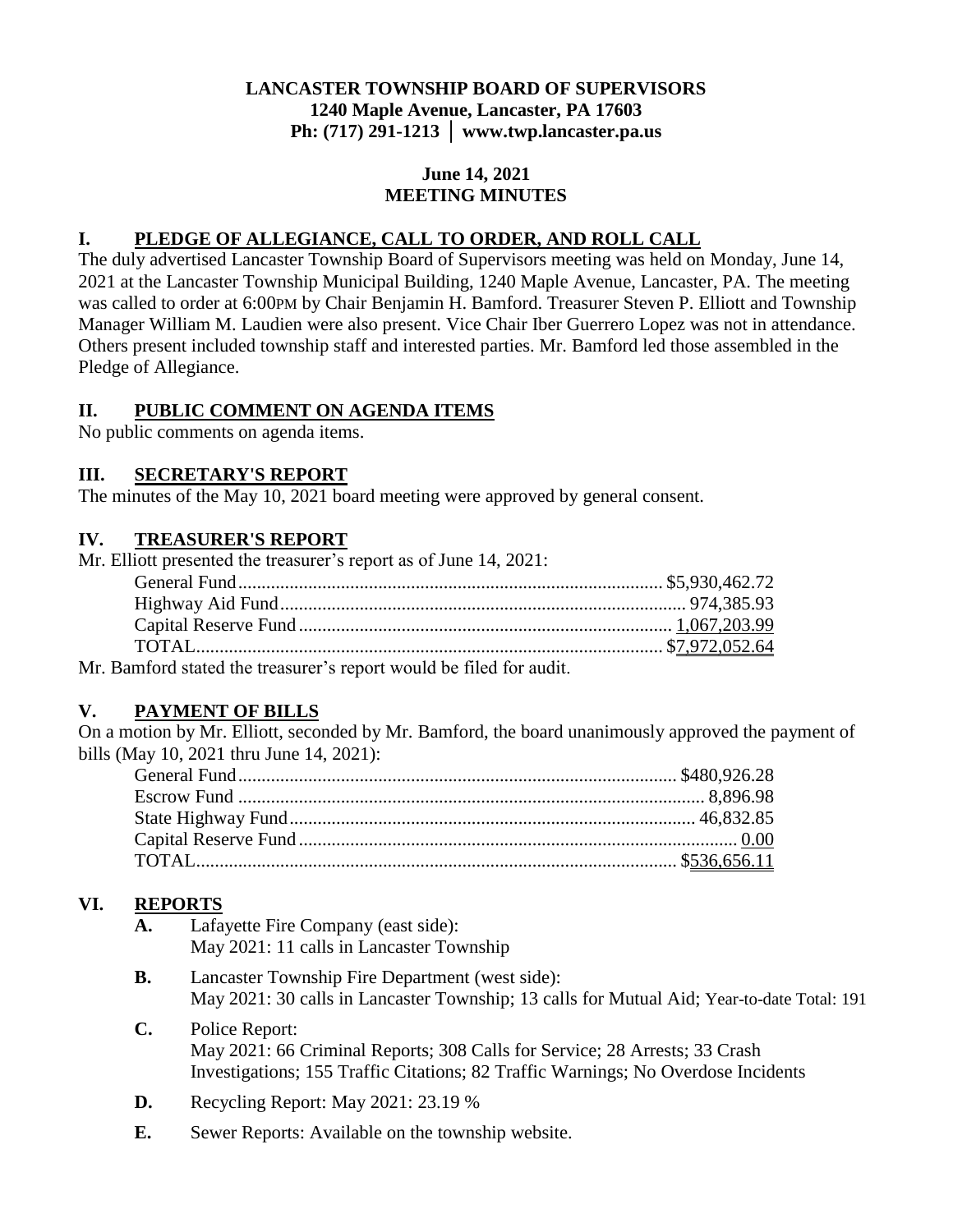## **LANCASTER TOWNSHIP BOARD OF SUPERVISORS 1240 Maple Avenue, Lancaster, PA 17603 Ph: (717) 291-1213 │ www.twp.lancaster.pa.us**

#### **June 14, 2021 MEETING MINUTES**

## **I. PLEDGE OF ALLEGIANCE, CALL TO ORDER, AND ROLL CALL**

The duly advertised Lancaster Township Board of Supervisors meeting was held on Monday, June 14, 2021 at the Lancaster Township Municipal Building, 1240 Maple Avenue, Lancaster, PA. The meeting was called to order at 6:00PM by Chair Benjamin H. Bamford. Treasurer Steven P. Elliott and Township Manager William M. Laudien were also present. Vice Chair Iber Guerrero Lopez was not in attendance. Others present included township staff and interested parties. Mr. Bamford led those assembled in the Pledge of Allegiance.

## **II. PUBLIC COMMENT ON AGENDA ITEMS**

No public comments on agenda items.

## **III. SECRETARY'S REPORT**

The minutes of the May 10, 2021 board meeting were approved by general consent.

## **IV. TREASURER'S REPORT**

| Mr. Elliott presented the treasurer's report as of June 14, 2021: |  |
|-------------------------------------------------------------------|--|
|                                                                   |  |
|                                                                   |  |
|                                                                   |  |
|                                                                   |  |
| Ma Dougland stated the tweequare maneut would be filed for gudit  |  |

Mr. Bamford stated the treasurer's report would be filed for audit.

# **V. PAYMENT OF BILLS**

On a motion by Mr. Elliott, seconded by Mr. Bamford, the board unanimously approved the payment of bills (May 10, 2021 thru June 14, 2021):

# **VI. REPORTS**

- **A.** Lafayette Fire Company (east side): May 2021: 11 calls in Lancaster Township
- **B.** Lancaster Township Fire Department (west side): May 2021: 30 calls in Lancaster Township; 13 calls for Mutual Aid; Year-to-date Total: 191
- **C.** Police Report: May 2021: 66 Criminal Reports; 308 Calls for Service; 28 Arrests; 33 Crash Investigations; 155 Traffic Citations; 82 Traffic Warnings; No Overdose Incidents
- **D.** Recycling Report: May 2021: 23.19 %
- **E.** Sewer Reports: Available on the township website.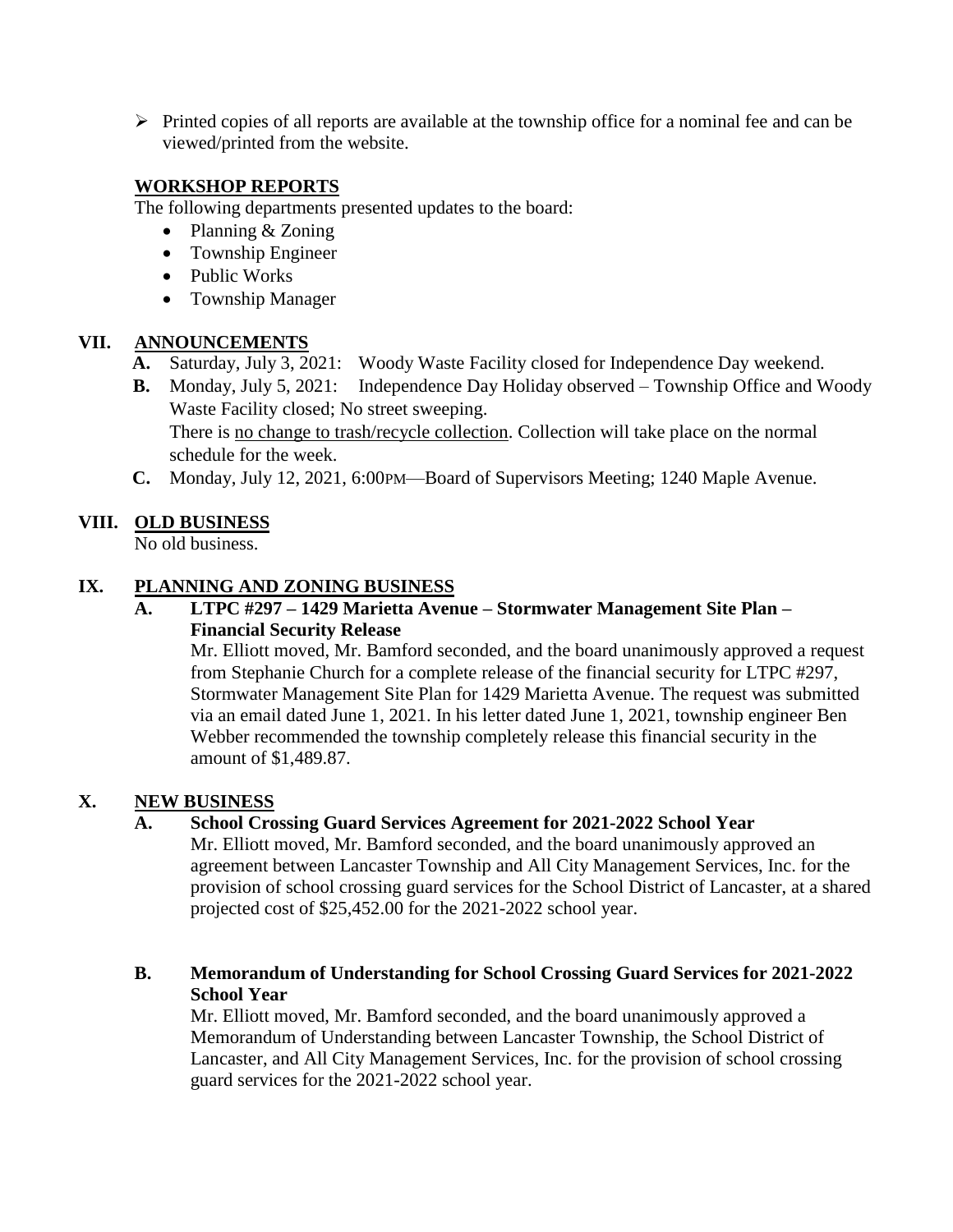$\triangleright$  Printed copies of all reports are available at the township office for a nominal fee and can be viewed/printed from the website.

# **WORKSHOP REPORTS**

The following departments presented updates to the board:

- Planning & Zoning
- Township Engineer
- Public Works
- Township Manager

## **VII. ANNOUNCEMENTS**

- **A.** Saturday, July 3, 2021: Woody Waste Facility closed for Independence Day weekend.
- **B.** Monday, July 5, 2021: Independence Day Holiday observed Township Office and Woody Waste Facility closed; No street sweeping. There is no change to trash/recycle collection. Collection will take place on the normal schedule for the week.
- **C.** Monday, July 12, 2021, 6:00PM—Board of Supervisors Meeting; 1240 Maple Avenue.

# **VIII. OLD BUSINESS**

No old business.

## **IX. PLANNING AND ZONING BUSINESS**

#### **A. LTPC #297 – 1429 Marietta Avenue – Stormwater Management Site Plan – Financial Security Release**

Mr. Elliott moved, Mr. Bamford seconded, and the board unanimously approved a request from Stephanie Church for a complete release of the financial security for LTPC #297, Stormwater Management Site Plan for 1429 Marietta Avenue. The request was submitted via an email dated June 1, 2021. In his letter dated June 1, 2021, township engineer Ben Webber recommended the township completely release this financial security in the amount of \$1,489.87.

#### **X. NEW BUSINESS**

#### **A. School Crossing Guard Services Agreement for 2021-2022 School Year**

Mr. Elliott moved, Mr. Bamford seconded, and the board unanimously approved an agreement between Lancaster Township and All City Management Services, Inc. for the provision of school crossing guard services for the School District of Lancaster, at a shared projected cost of \$25,452.00 for the 2021-2022 school year.

#### **B. Memorandum of Understanding for School Crossing Guard Services for 2021-2022 School Year**

Mr. Elliott moved, Mr. Bamford seconded, and the board unanimously approved a Memorandum of Understanding between Lancaster Township, the School District of Lancaster, and All City Management Services, Inc. for the provision of school crossing guard services for the 2021-2022 school year.